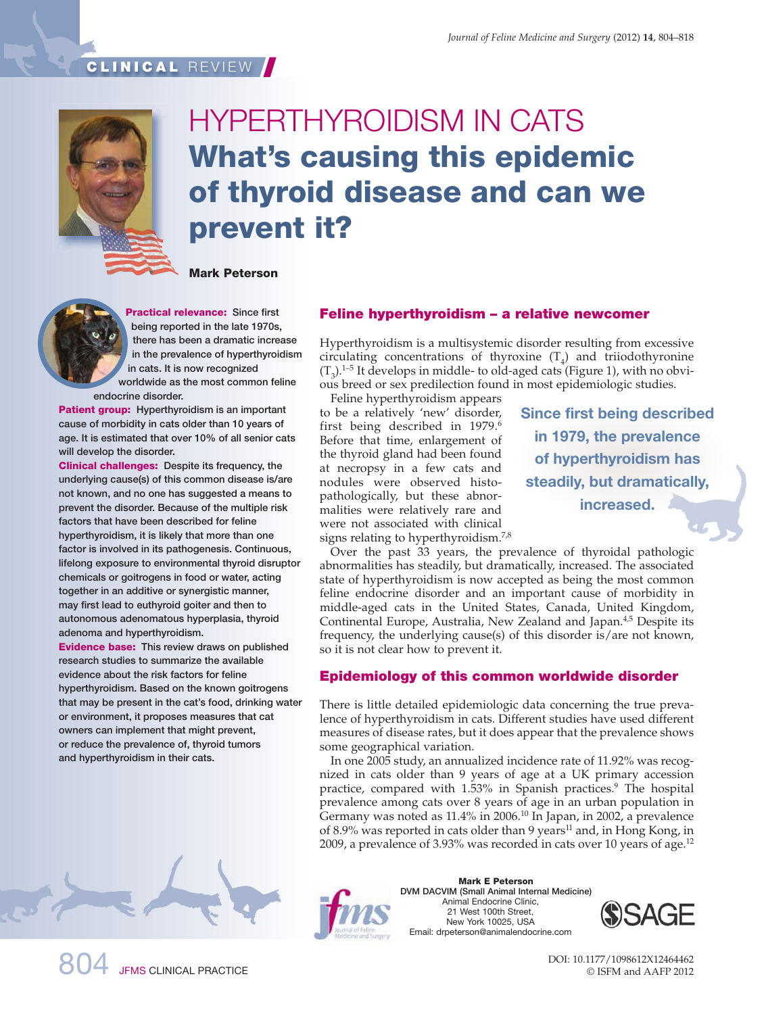

# HYPERTHYROIDISM IN CATS **What's causing this epidemic of thyroid disease and can we prevent it?**

**Mark Peterson**



**Practical relevance: Since first being reported in the late 1970s, there has been a dramatic increase in the prevalence of hyperthyroidism in cats. It is now recognized worldwide as the most common feline**

**endocrine disorder.**

**Patient group: Hyperthyroidism is an important cause of morbidity in cats older than 10 years of age. It is estimated that over 10% of all senior cats will develop the disorder.**

**Clinical challenges: Despite its frequency, the underlying cause(s) of this common disease is/are not known, and no one has suggested a means to prevent the disorder. Because of the multiple risk factors that have been described for feline hyperthyroidism, it is likely that more than one factor is involved in its pathogenesis. Continuous, lifelong exposure to environmental thyroid disruptor chemicals or goitrogens in food or water, acting together in an additive or synergistic manner, may first lead to euthyroid goiter and then to autonomous adenomatous hyperplasia, thyroid adenoma and hyperthyroidism.**

**Evidence base: This review draws on published research studies to summarize the available evidence about the risk factors for feline hyperthyroidism. Based on the known goitrogens that may be present in the cat's food, drinking water or environment, it proposes measures that cat owners can implement that might prevent, or reduce the prevalence of, thyroid tumors and hyperthyroidism in their cats.**

# **Feline hyperthyroidism – a relative newcomer**

Hyperthyroidism is a multisystemic disorder resulting from excessive circulating concentrations of thyroxine  $(T_4)$  and triiodothyronine  $(T_3)$ .<sup>1-5</sup> It develops in middle- to old-aged cats (Figure 1), with no obvious breed or sex predilection found in most epidemiologic studies.

Feline hyperthyroidism appears to be a relatively 'new' disorder, first being described in 1979.6 Before that time, enlargement of the thyroid gland had been found at necropsy in a few cats and nodules were observed histopathologically, but these abnormalities were relatively rare and were not associated with clinical signs relating to hyperthyroidism.<sup>7,8</sup>

**Since first being described in 1979, the prevalence of hyperthyroidism has steadily, but dramatically, increased.**

Over the past 33 years, the prevalence of thyroidal pathologic abnormalities has steadily, but dramatically, increased. The associated state of hyperthyroidism is now accepted as being the most common feline endocrine disorder and an important cause of morbidity in middle-aged cats in the United States, Canada, United Kingdom, Continental Europe, Australia, New Zealand and Japan.<sup>4,5</sup> Despite its frequency, the underlying cause(s) of this disorder is/are not known, so it is not clear how to prevent it.

# **Epidemiology of this common worldwide disorder**

There is little detailed epidemiologic data concerning the true prevalence of hyperthyroidism in cats. Different studies have used different measures of disease rates, but it does appear that the prevalence shows some geographical variation.

In one 2005 study, an annualized incidence rate of 11.92% was recognized in cats older than 9 years of age at a UK primary accession practice, compared with 1.53% in Spanish practices.<sup>9</sup> The hospital prevalence among cats over 8 years of age in an urban population in Germany was noted as 11.4% in 2006.10 In Japan, in 2002, a prevalence of 8.9% was reported in cats older than 9 years<sup>11</sup> and, in Hong Kong, in 2009, a prevalence of 3.93% was recorded in cats over 10 years of age.12



**Mark E Peterson DVM DACVIM (Small Animal Internal Medicine)** Animal Endocrine Clinic, 21 West 100th Street, New York 10025, USA Email: drpeterson@animalendocrine.com



DOI: 10.1177/1098612X12464462 © ISFM and AAFP 2012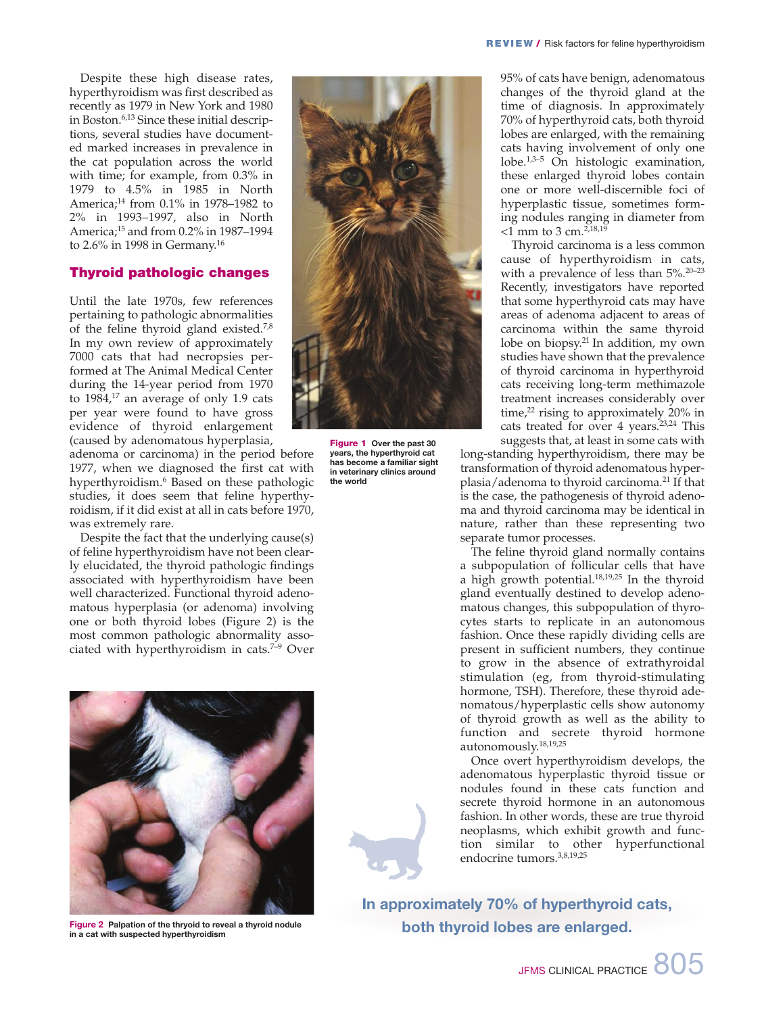Despite these high disease rates, hyperthyroidism was first described as recently as 1979 in New York and 1980 in Boston.6,13 Since these initial descriptions, several studies have documented marked increases in prevalence in the cat population across the world with time; for example, from 0.3% in 1979 to 4.5% in 1985 in North America;14 from 0.1% in 1978–1982 to 2% in 1993–1997, also in North America;15 and from 0.2% in 1987–1994 to 2.6% in 1998 in Germany.16

# **Thyroid pathologic changes**

Until the late 1970s, few references pertaining to pathologic abnormalities of the feline thyroid gland existed.7,8 In my own review of approximately 7000 cats that had necropsies performed at The Animal Medical Center during the 14-year period from 1970 to  $1984$ ,<sup>17</sup> an average of only 1.9 cats per year were found to have gross evidence of thyroid enlargement (caused by adenomatous hyperplasia,

adenoma or carcinoma) in the period before 1977, when we diagnosed the first cat with hyperthyroidism.6 Based on these pathologic studies, it does seem that feline hyperthyroidism, if it did exist at all in cats before 1970, was extremely rare.

Despite the fact that the underlying cause(s) of feline hyperthyroidism have not been clearly elucidated, the thyroid pathologic findings associated with hyperthyroidism have been well characterized. Functional thyroid adenomatous hyperplasia (or adenoma) involving one or both thyroid lobes (Figure 2) is the most common pathologic abnormality associated with hyperthyroidism in cats. $7-9$  Over



**Figure 2 Palpation of the thryoid to reveal a thyroid nodule in a cat with suspected hyperthyroidism**



**Figure 1 Over the past 30 years, the hyperthyroid cat has become a familiar sight in veterinary clinics around the world**

95% of cats have benign, adenomatous changes of the thyroid gland at the time of diagnosis. In approximately 70% of hyperthyroid cats, both thyroid lobes are enlarged, with the remaining cats having involvement of only one lobe.<sup>1,3–5</sup> On histologic examination, these enlarged thyroid lobes contain one or more well-discernible foci of hyperplastic tissue, sometimes forming nodules ranging in diameter from  $\leq 1$  mm to 3 cm.<sup>2,18,19</sup>

Thyroid carcinoma is a less common cause of hyperthyroidism in cats, with a prevalence of less than  $5\%$ <sup>20-23</sup> Recently, investigators have reported that some hyperthyroid cats may have areas of adenoma adjacent to areas of carcinoma within the same thyroid lobe on biopsy. <sup>21</sup> In addition, my own studies have shown that the prevalence of thyroid carcinoma in hyperthyroid cats receiving long-term methimazole treatment increases considerably over time, $22$  rising to approximately  $20\%$  in cats treated for over 4 years. $23,24$  This suggests that, at least in some cats with

long-standing hyperthyroidism, there may be transformation of thyroid adenomatous hyperplasia/adenoma to thyroid carcinoma.21 If that is the case, the pathogenesis of thyroid adenoma and thyroid carcinoma may be identical in nature, rather than these representing two separate tumor processes.

The feline thyroid gland normally contains a subpopulation of follicular cells that have a high growth potential.<sup>18,19,25</sup> In the thyroid gland eventually destined to develop adenomatous changes, this subpopulation of thyrocytes starts to replicate in an autonomous fashion. Once these rapidly dividing cells are present in sufficient numbers, they continue to grow in the absence of extrathyroidal stimulation (eg, from thyroid-stimulating hormone, TSH). Therefore, these thyroid adenomatous/hyperplastic cells show autonomy of thyroid growth as well as the ability to function and secrete thyroid hormone autonomously.18,19,25

Once overt hyperthyroidism develops, the adenomatous hyperplastic thyroid tissue or nodules found in these cats function and secrete thyroid hormone in an autonomous fashion. In other words, these are true thyroid neoplasms, which exhibit growth and function similar to other hyperfunctional endocrine tumors.3,8,19,25

**In approximately 70% of hyperthyroid cats, both thyroid lobes are enlarged.**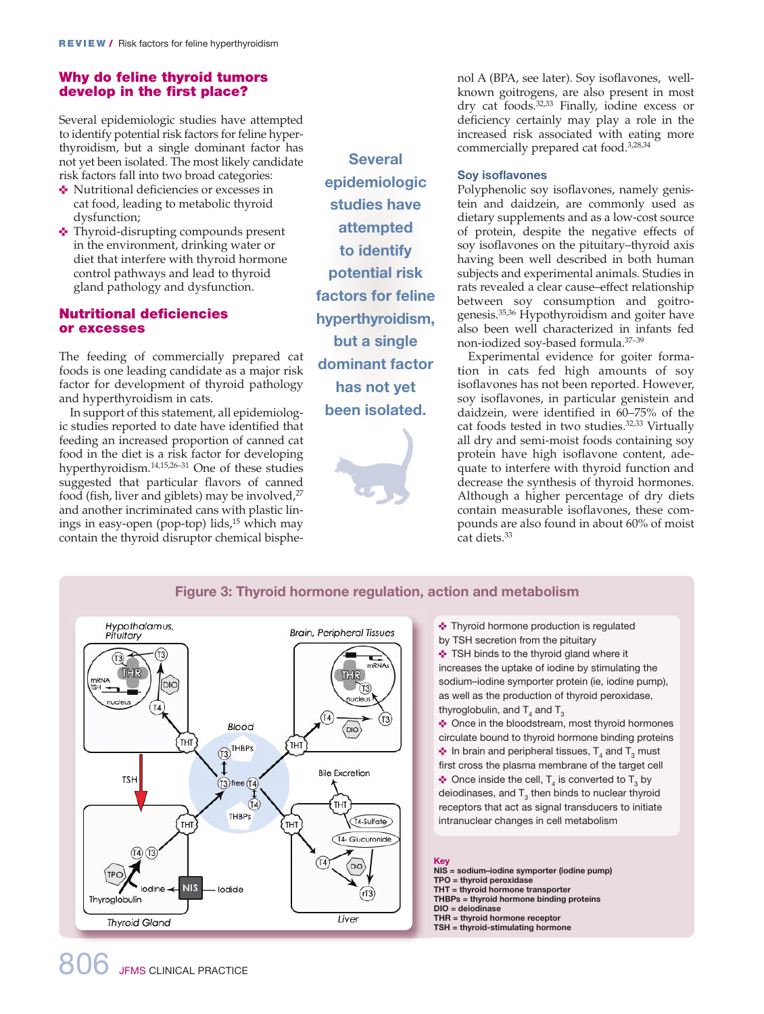# **Why do feline thyroid tumors develop in the first place?**

Several epidemiologic studies have attempted to identify potential risk factors for feline hyperthyroidism, but a single dominant factor has not yet been isolated. The most likely candidate risk factors fall into two broad categories:

- ✜ Nutritional deficiencies or excesses in cat food, leading to metabolic thyroid dysfunction;
- ✜ Thyroid-disrupting compounds present in the environment, drinking water or diet that interfere with thyroid hormone control pathways and lead to thyroid gland pathology and dysfunction.

# **Nutritional deficiencies or excesses**

The feeding of commercially prepared cat foods is one leading candidate as a major risk factor for development of thyroid pathology and hyperthyroidism in cats.

In support of this statement, all epidemiologic studies reported to date have identified that feeding an increased proportion of canned cat food in the diet is a risk factor for developing hyperthyroidism.14,15,26–31 One of these studies suggested that particular flavors of canned food (fish, liver and giblets) may be involved, 27 and another incriminated cans with plastic linings in easy-open (pop-top) lids, <sup>15</sup> which may contain the thyroid disruptor chemical bisphe-

**Several epidemiologic studies have attempted to identify potential risk factors for feline hyperthyroidism, but a single dominant factor has not yet been isolated.**



nol A (BPA, see later). Soy isoflavones, wellknown goitrogens, are also present in most dry cat foods. 32,33 Finally, iodine excess or deficiency certainly may play a role in the increased risk associated with eating more commercially prepared cat food. 3,28,34

# **Soy isoflavones**

Polyphenolic soy isoflavones, namely genistein and daidzein, are commonly used as dietary supplements and as a low-cost source of protein, despite the negative effects of soy isoflavones on the pituitary–thyroid axis having been well described in both human subjects and experimental animals. Studies in rats revealed a clear cause–effect relationship between soy consumption and goitrogenesis.35,36 Hypothyroidism and goiter have also been well characterized in infants fed non-iodized soy-based formula.37–39

Experimental evidence for goiter formation in cats fed high amounts of soy isoflavones has not been reported. However, soy isoflavones, in particular genistein and daidzein, were identified in 60–75% of the cat foods tested in two studies.<sup>32,33</sup> Virtually all dry and semi-moist foods containing soy protein have high isoflavone content, adequate to interfere with thyroid function and decrease the synthesis of thyroid hormones. Although a higher percentage of dry diets contain measurable isoflavones, these compounds are also found in about 60% of moist cat diets.<sup>33</sup>



# **Figure 3: Thyroid hormone regulation, action and metabolism**

- ✜ Thyroid hormone production is regulated
- by TSH secretion from the pituitary

✜ TSH binds to the thyroid gland where it increases the uptake of iodine by stimulating the sodium–iodine symporter protein (ie, iodine pump), as well as the production of thyroid peroxidase, thyroglobulin, and  $T<sub>4</sub>$  and  $T<sub>3</sub>$ 

✜ Once in the bloodstream, most thyroid hormones circulate bound to thyroid hormone binding proteins  $\triangle$  In brain and peripheral tissues,  $T_4$  and  $T_3$  must first cross the plasma membrane of the target cell  $\triangle$  Once inside the cell,  $T<sub>4</sub>$  is converted to  $T<sub>5</sub>$  by deiodinases, and  $T_3$  then binds to nuclear thyroid receptors that act as signal transducers to initiate intranuclear changes in cell metabolism

#### **Key**

**NIS = sodium–iodine symporter (iodine pump) TPO = thyroid peroxidase THT = thyroid hormone transporter THBPs = thyroid hormone binding proteins DIO = deiodinase THR = thyroid hormone receptor TSH = thyroid-stimulating hormone**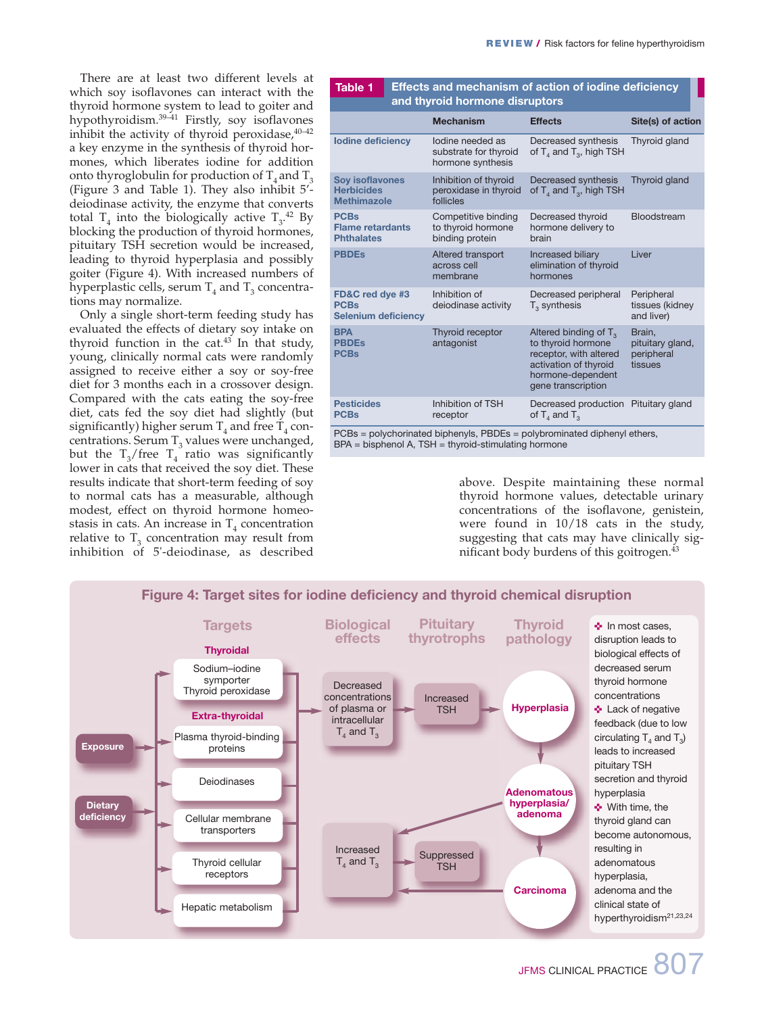There are at least two different levels at which soy isoflavones can interact with the thyroid hormone system to lead to goiter and hypothyroidism.39–41 Firstly, soy isoflavones inhibit the activity of thyroid peroxidase,  $40-42$ a key enzyme in the synthesis of thyroid hormones, which liberates iodine for addition onto thyroglobulin for production of  $T_4$  and  $T_3$ (Figure 3 and Table 1). They also inhibit 5' deiodinase activity, the enzyme that converts total  $T_4$  into the biologically active  $T_3$ .<sup>42</sup> By blocking the production of thyroid hormones, pituitary TSH secretion would be increased, leading to thyroid hyperplasia and possibly goiter (Figure 4). With increased numbers of hyperplastic cells, serum  $T<sub>4</sub>$  and  $T<sub>3</sub>$  concentrations may normalize.

Only a single short-term feeding study has evaluated the effects of dietary soy intake on thyroid function in the cat. $43$  In that study, young, clinically normal cats were randomly assigned to receive either a soy or soy-free diet for 3 months each in a crossover design. Compared with the cats eating the soy-free diet, cats fed the soy diet had slightly (but significantly) higher serum  $T<sub>4</sub>$  and free  $T<sub>4</sub>$  concentrations. Serum  $T<sub>3</sub>$  values were unchanged, but the  $T_3$ /free  $T_4$  ratio was significantly lower in cats that received the soy diet. These results indicate that short-term feeding of soy to normal cats has a measurable, although modest, effect on thyroid hormone homeostasis in cats. An increase in  $T<sub>4</sub>$  concentration relative to  $T<sub>3</sub>$  concentration may result from inhibition of 5'-deiodinase, as described

| Table 1 | Effects and mechanism of action of iodine deficiency |  |
|---------|------------------------------------------------------|--|
|         | and thyroid hormone disruptors                       |  |

|                                                                   | <b>Mechanism</b>                                               | <b>Effects</b>                                                                                                                                        | Site(s) of action                                   |
|-------------------------------------------------------------------|----------------------------------------------------------------|-------------------------------------------------------------------------------------------------------------------------------------------------------|-----------------------------------------------------|
| <b>lodine deficiency</b>                                          | lodine needed as<br>substrate for thyroid<br>hormone synthesis | Decreased synthesis<br>of $T_4$ and $T_3$ , high TSH                                                                                                  | Thyroid gland                                       |
| <b>Soy isoflavones</b><br><b>Herbicides</b><br><b>Methimazole</b> | Inhibition of thyroid<br>peroxidase in thyroid<br>follicles    | Decreased synthesis<br>of $T_4$ and $T_3$ , high TSH                                                                                                  | Thyroid gland                                       |
| <b>PCBs</b><br><b>Flame retardants</b><br><b>Phthalates</b>       | Competitive binding<br>to thyroid hormone<br>binding protein   | Decreased thyroid<br>hormone delivery to<br>brain                                                                                                     | <b>Bloodstream</b>                                  |
| <b>PBDEs</b>                                                      | Altered transport<br>across cell<br>membrane                   | Increased biliary<br>elimination of thyroid<br>hormones                                                                                               | Liver                                               |
| FD&C red dye #3<br><b>PCBs</b><br><b>Selenium deficiency</b>      | Inhibition of<br>deiodinase activity                           | Decreased peripheral<br>$T2$ synthesis                                                                                                                | Peripheral<br>tissues (kidney<br>and liver)         |
| <b>BPA</b><br><b>PBDEs</b><br><b>PCBs</b>                         | Thyroid receptor<br>antagonist                                 | Altered binding of T <sub>2</sub><br>to thyroid hormone<br>receptor, with altered<br>activation of thyroid<br>hormone-dependent<br>gene transcription | Brain,<br>pituitary gland,<br>peripheral<br>tissues |
| <b>Pesticides</b><br><b>PCBs</b>                                  | Inhibition of TSH<br>receptor                                  | Decreased production Pituitary gland<br>of $T_4$ and $T_3$                                                                                            |                                                     |

PCBs = polychorinated biphenyls, PBDEs = polybrominated diphenyl ethers, BPA = bisphenol A, TSH = thyroid-stimulating hormone

> above. Despite maintaining these normal thyroid hormone values, detectable urinary concentrations of the isoflavone, genistein, were found in 10/18 cats in the study, suggesting that cats may have clinically significant body burdens of this goitrogen.<sup>43</sup>

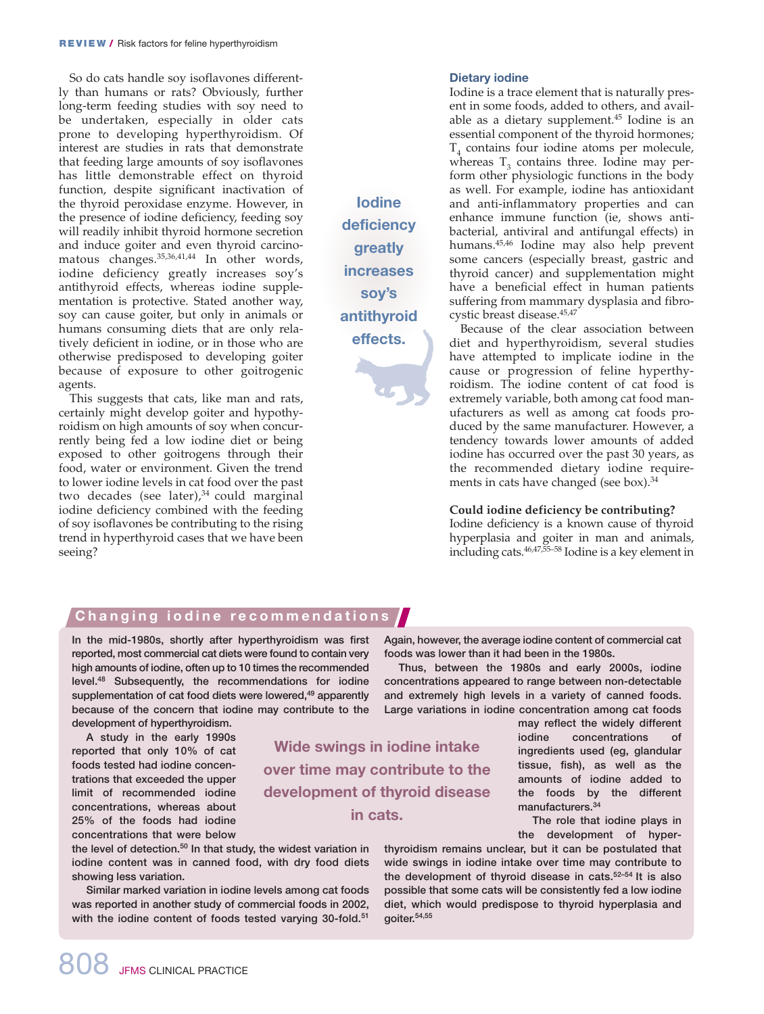So do cats handle soy isoflavones differently than humans or rats? Obviously, further long-term feeding studies with soy need to be undertaken, especially in older cats prone to developing hyperthyroidism. Of interest are studies in rats that demonstrate that feeding large amounts of soy isoflavones has little demonstrable effect on thyroid function, despite significant inactivation of the thyroid peroxidase enzyme. However, in the presence of iodine deficiency, feeding soy will readily inhibit thyroid hormone secretion and induce goiter and even thyroid carcinomatous changes. 35,36,41,44 In other words, iodine deficiency greatly increases soy's antithyroid effects, whereas iodine supplementation is protective. Stated another way, soy can cause goiter, but only in animals or humans consuming diets that are only relatively deficient in iodine, or in those who are otherwise predisposed to developing goiter because of exposure to other goitrogenic agents.

This suggests that cats, like man and rats, certainly might develop goiter and hypothyroidism on high amounts of soy when concurrently being fed a low iodine diet or being exposed to other goitrogens through their food, water or environment. Given the trend to lower iodine levels in cat food over the past two decades (see later), $34$  could marginal iodine deficiency combined with the feeding of soy isoflavones be contributing to the rising trend in hyperthyroid cases that we have been seeing?

**Iodine deficiency greatly increases soy's antithyroid effects.**

**Wide swings in iodine intake over time may contribute to the development of thyroid disease in cats.**

### **Dietary iodine**

Iodine is a trace element that is naturally present in some foods, added to others, and available as a dietary supplement.45 Iodine is an essential component of the thyroid hormones;  $T<sub>4</sub>$  contains four iodine atoms per molecule, whereas  $T_3$  contains three. Iodine may perform other physiologic functions in the body as well. For example, iodine has antioxidant and anti-inflammatory properties and can enhance immune function (ie, shows antibacterial, antiviral and antifungal effects) in humans.45,46 Iodine may also help prevent some cancers (especially breast, gastric and thyroid cancer) and supplementation might have a beneficial effect in human patients suffering from mammary dysplasia and fibrocystic breast disease.45,47

Because of the clear association between diet and hyperthyroidism, several studies have attempted to implicate iodine in the cause or progression of feline hyperthyroidism. The iodine content of cat food is extremely variable, both among cat food manufacturers as well as among cat foods produced by the same manufacturer. However, a tendency towards lower amounts of added iodine has occurred over the past 30 years, as the recommended dietary iodine requirements in cats have changed (see box).<sup>34</sup>

#### **Could iodine deficiency be contributing?**

Iodine deficiency is a known cause of thyroid hyperplasia and goiter in man and animals, including cats.46,47,55–58 Iodine is a key element in

# **C hangin g iodin e r e commendations**

**In the mid-1980s, shortly after hyperthyroidism was first reported, most commercial cat diets were found to contain very high amounts of iodine, often up to 10 times the recommended level.48 Subsequently, the recommendations for iodine supplementation of cat food diets were lowered,49 apparently because of the concern that iodine may contribute to the development of hyperthyroidism.**

**A study in the early 1990s reported that only 10% of cat foods tested had iodine concentrations that exceeded the upper limit of recommended iodine concentrations, whereas about 25% of the foods had iodine concentrations that were below**

**the level of detection.50 In that study, the widest variation in iodine content was in canned food, with dry food diets showing less variation.**

**Similar marked variation in iodine levels among cat foods was reported in another study of commercial foods in 2002, with the iodine content of foods tested varying 30-fold.51** **Again, however, the average iodine content of commercial cat foods was lower than it had been in the 1980s.**

**Thus, between the 1980s and early 2000s, iodine concentrations appeared to range between non-detectable and extremely high levels in a variety of canned foods. Large variations in iodine concentration among cat foods**

> **may reflect the widely different iodine concentrations of ingredients used (eg, glandular tissue, fish), as well as the amounts of iodine added to the foods by the different manufacturers.34**

> **The role that iodine plays in the development of hyper-**

**thyroidism remains unclear, but it can be postulated that wide swings in iodine intake over time may contribute to the development of thyroid disease in cats. 52–54 It is also possible that some cats will be consistently fed a low iodine diet, which would predispose to thyroid hyperplasia and goiter.54,55**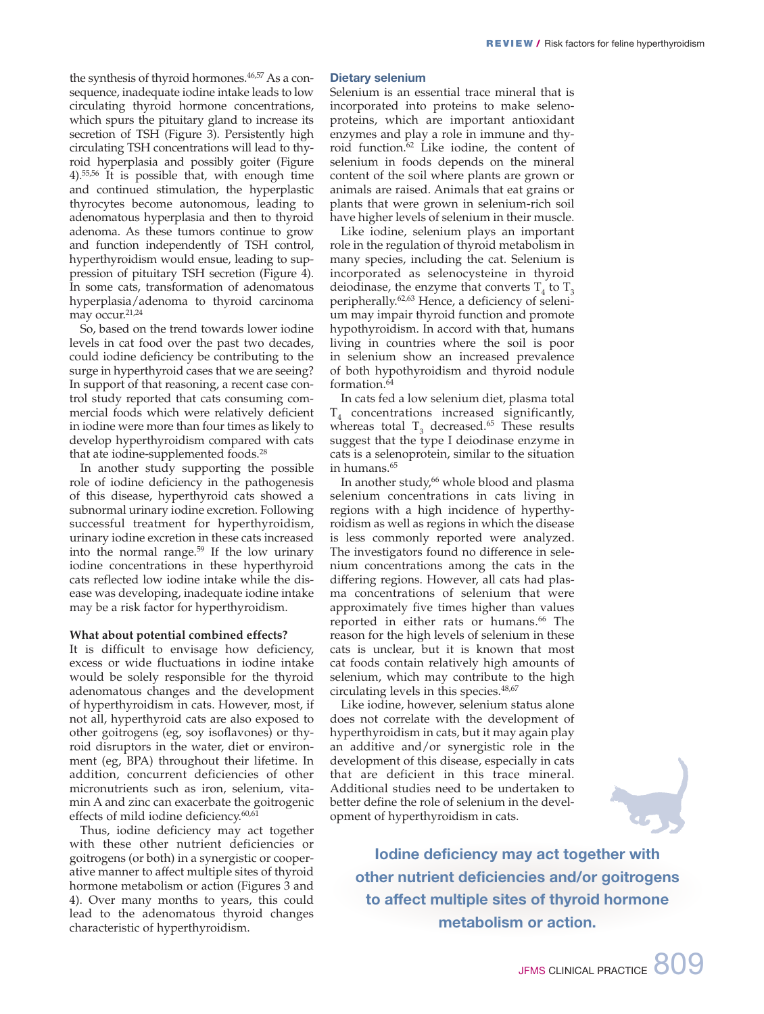the synthesis of thyroid hormones.<sup>46,57</sup> As a consequence, inadequate iodine intake leads to low circulating thyroid hormone concentrations, which spurs the pituitary gland to increase its secretion of TSH (Figure 3). Persistently high circulating TSH concentrations will lead to thyroid hyperplasia and possibly goiter (Figure 4).55,56 It is possible that, with enough time and continued stimulation, the hyperplastic thyrocytes become autonomous, leading to adenomatous hyperplasia and then to thyroid adenoma. As these tumors continue to grow and function independently of TSH control, hyperthyroidism would ensue, leading to suppression of pituitary TSH secretion (Figure 4). In some cats, transformation of adenomatous hyperplasia/adenoma to thyroid carcinoma may occur. 21,24

So, based on the trend towards lower iodine levels in cat food over the past two decades, could iodine deficiency be contributing to the surge in hyperthyroid cases that we are seeing? In support of that reasoning, a recent case control study reported that cats consuming commercial foods which were relatively deficient in iodine were more than four times as likely to develop hyperthyroidism compared with cats that ate iodine-supplemented foods.<sup>28</sup>

In another study supporting the possible role of iodine deficiency in the pathogenesis of this disease, hyperthyroid cats showed a subnormal urinary iodine excretion. Following successful treatment for hyperthyroidism, urinary iodine excretion in these cats increased into the normal range.<sup>59</sup> If the low urinary iodine concentrations in these hyperthyroid cats reflected low iodine intake while the disease was developing, inadequate iodine intake may be a risk factor for hyperthyroidism.

#### **What about potential combined effects?**

It is difficult to envisage how deficiency, excess or wide fluctuations in iodine intake would be solely responsible for the thyroid adenomatous changes and the development of hyperthyroidism in cats. However, most, if not all, hyperthyroid cats are also exposed to other goitrogens (eg, soy isoflavones) or thyroid disruptors in the water, diet or environment (eg, BPA) throughout their lifetime. In addition, concurrent deficiencies of other micronutrients such as iron, selenium, vitamin A and zinc can exacerbate the goitrogenic effects of mild iodine deficiency.<sup>60,61</sup>

Thus, iodine deficiency may act together with these other nutrient deficiencies or goitrogens (or both) in a synergistic or cooperative manner to affect multiple sites of thyroid hormone metabolism or action (Figures 3 and 4). Over many months to years, this could lead to the adenomatous thyroid changes characteristic of hyperthyroidism.

#### **Dietary selenium**

Selenium is an essential trace mineral that is incorporated into proteins to make selenoproteins, which are important antioxidant enzymes and play a role in immune and thyroid function.62 Like iodine, the content of selenium in foods depends on the mineral content of the soil where plants are grown or animals are raised. Animals that eat grains or plants that were grown in selenium-rich soil have higher levels of selenium in their muscle.

Like iodine, selenium plays an important role in the regulation of thyroid metabolism in many species, including the cat. Selenium is incorporated as selenocysteine in thyroid deiodinase, the enzyme that converts  $T_4$  to  $T_3$ peripherally.62,63 Hence, a deficiency of selenium may impair thyroid function and promote hypothyroidism. In accord with that, humans living in countries where the soil is poor in selenium show an increased prevalence of both hypothyroidism and thyroid nodule formation.<sup>6</sup>

In cats fed a low selenium diet, plasma total  $T_4$  concentrations increased significantly, whereas total  $T<sub>2</sub>$  decreased.<sup>65</sup> These results suggest that the type I deiodinase enzyme in cats is a selenoprotein, similar to the situation in humans.65

In another study,<sup>66</sup> whole blood and plasma selenium concentrations in cats living in regions with a high incidence of hyperthyroidism as well as regions in which the disease is less commonly reported were analyzed. The investigators found no difference in selenium concentrations among the cats in the differing regions. However, all cats had plasma concentrations of selenium that were approximately five times higher than values reported in either rats or humans.<sup>66</sup> The reason for the high levels of selenium in these cats is unclear, but it is known that most cat foods contain relatively high amounts of selenium, which may contribute to the high circulating levels in this species.<sup>48,67</sup>

Like iodine, however, selenium status alone does not correlate with the development of hyperthyroidism in cats, but it may again play an additive and/or synergistic role in the development of this disease, especially in cats that are deficient in this trace mineral. Additional studies need to be undertaken to better define the role of selenium in the development of hyperthyroidism in cats.



**Iodine deficiency may act together with other nutrient deficiencies and/or goitrogens to affect multiple sites of thyroid hormone metabolism or action.**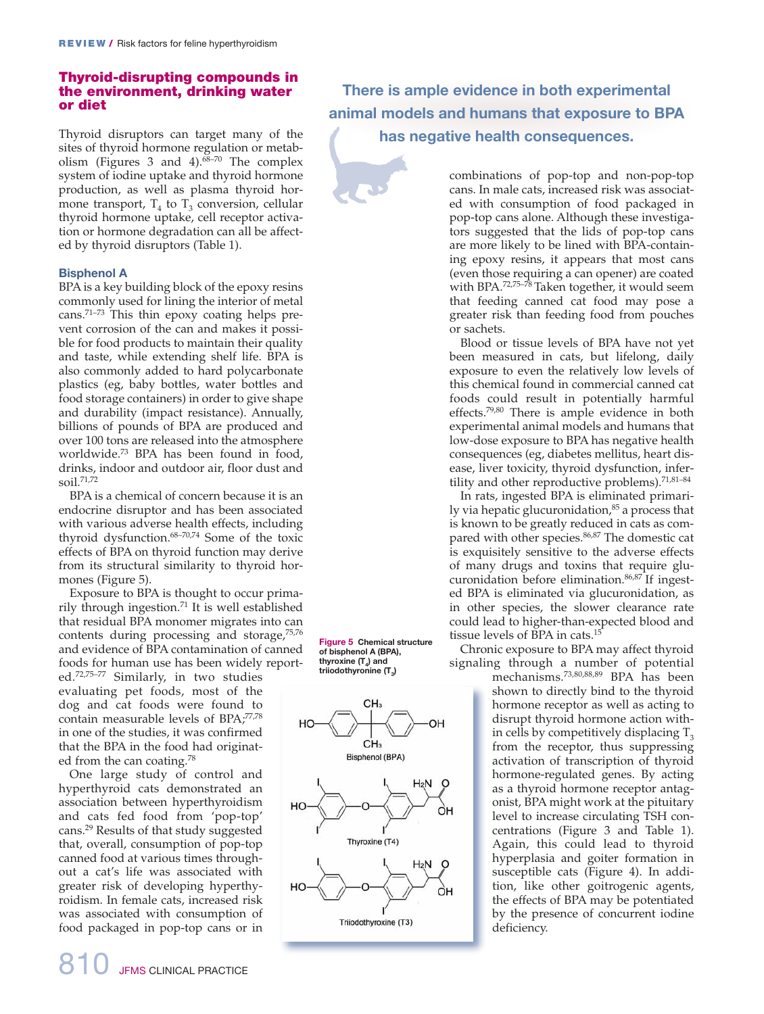# **Thyroid-disrupting compounds in the environment, drinking water or diet**

Thyroid disruptors can target many of the sites of thyroid hormone regulation or metabolism (Figures 3 and 4).<sup>68–70</sup> The complex system of iodine uptake and thyroid hormone production, as well as plasma thyroid hormone transport,  $T_4$  to  $T_3$  conversion, cellular thyroid hormone uptake, cell receptor activation or hormone degradation can all be affected by thyroid disruptors (Table 1).

#### **Bisphenol A**

BPA is a key building block of the epoxy resins commonly used for lining the interior of metal cans.71–73 This thin epoxy coating helps prevent corrosion of the can and makes it possible for food products to maintain their quality and taste, while extending shelf life. BPA is also commonly added to hard polycarbonate plastics (eg, baby bottles, water bottles and food storage containers) in order to give shape and durability (impact resistance). Annually, billions of pounds of BPA are produced and over 100 tons are released into the atmosphere worldwide.73 BPA has been found in food, drinks, indoor and outdoor air, floor dust and soil.71,72

BPA is a chemical of concern because it is an endocrine disruptor and has been associated with various adverse health effects, including thyroid dysfunction.68–70,74 Some of the toxic effects of BPA on thyroid function may derive from its structural similarity to thyroid hormones (Figure 5).

Exposure to BPA is thought to occur primarily through ingestion.71 It is well established that residual BPA monomer migrates into can contents during processing and storage,75,76 and evidence of BPA contamination of canned foods for human use has been widely report-

ed.72,75–77 Similarly, in two studies evaluating pet foods, most of the dog and cat foods were found to contain measurable levels of BPA;77,78 in one of the studies, it was confirmed that the BPA in the food had originated from the can coating.78

One large study of control and hyperthyroid cats demonstrated an association between hyperthyroidism and cats fed food from 'pop-top' cans.29 Results of that study suggested that, overall, consumption of pop-top canned food at various times throughout a cat's life was associated with greater risk of developing hyperthyroidism. In female cats, increased risk was associated with consumption of food packaged in pop-top cans or in thyroxine (T<sub>4</sub>) and **triiodothyronine (T3)**

**Figure 5 Chemical structure of bisphenol A (BPA),**



**There is ample evidence in both experimental animal models and humans that exposure to BPA**

**has negative health consequences.**

combinations of pop-top and non-pop-top cans. In male cats, increased risk was associated with consumption of food packaged in pop-top cans alone. Although these investigators suggested that the lids of pop-top cans are more likely to be lined with BPA-containing epoxy resins, it appears that most cans (even those requiring a can opener) are coated with BPA.72,75–78 Taken together, it would seem that feeding canned cat food may pose a greater risk than feeding food from pouches or sachets.

Blood or tissue levels of BPA have not yet been measured in cats, but lifelong, daily exposure to even the relatively low levels of this chemical found in commercial canned cat foods could result in potentially harmful effects.79,80 There is ample evidence in both experimental animal models and humans that low-dose exposure to BPA has negative health consequences (eg, diabetes mellitus, heart disease, liver toxicity, thyroid dysfunction, infertility and other reproductive problems).<sup>71,81-84</sup>

In rats, ingested BPA is eliminated primarily via hepatic glucuronidation, $85$  a process that is known to be greatly reduced in cats as compared with other species.<sup>86,87</sup> The domestic cat is exquisitely sensitive to the adverse effects of many drugs and toxins that require glucuronidation before elimination.86,87 If ingested BPA is eliminated via glucuronidation, as in other species, the slower clearance rate could lead to higher-than-expected blood and tissue levels of BPA in cats.15

Chronic exposure to BPA may affect thyroid signaling through a number of potential

mechanisms.73,80,88,89 BPA has been shown to directly bind to the thyroid hormone receptor as well as acting to disrupt thyroid hormone action within cells by competitively displacing  $T<sub>3</sub>$ from the receptor, thus suppressing activation of transcription of thyroid hormone-regulated genes. By acting as a thyroid hormone receptor antagonist, BPA might work at the pituitary level to increase circulating TSH concentrations (Figure 3 and Table 1). Again, this could lead to thyroid hyperplasia and goiter formation in susceptible cats (Figure 4). In addition, like other goitrogenic agents, the effects of BPA may be potentiated by the presence of concurrent iodine deficiency.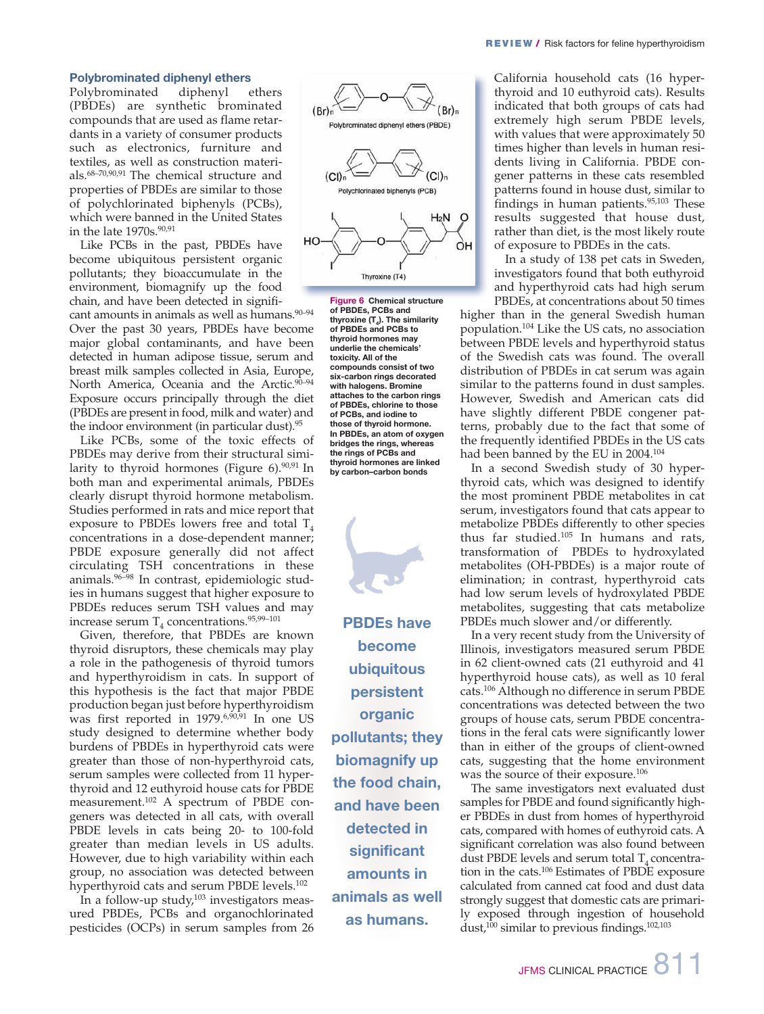#### **Polybrominated diphenyl ethers**

Polybrominated diphenyl ethers (PBDEs) are synthetic brominated compounds that are used as flame retardants in a variety of consumer products such as electronics, furniture and textiles, as well as construction materials.68–70,90,91 The chemical structure and properties of PBDEs are similar to those of polychlorinated biphenyls (PCBs), which were banned in the United States in the late  $1970s.^{90,91}$ 

Like PCBs in the past, PBDEs have become ubiquitous persistent organic pollutants; they bioaccumulate in the environment, biomagnify up the food chain, and have been detected in signifi-

cant amounts in animals as well as humans.<sup>90-94</sup> Over the past 30 years, PBDEs have become major global contaminants, and have been detected in human adipose tissue, serum and breast milk samples collected in Asia, Europe, North America, Oceania and the Arctic.<sup>90-94</sup> Exposure occurs principally through the diet (PBDEs are present in food, milk and water) and the indoor environment (in particular dust).95

Like PCBs, some of the toxic effects of PBDEs may derive from their structural similarity to thyroid hormones (Figure 6). 90,91 In both man and experimental animals, PBDEs clearly disrupt thyroid hormone metabolism. Studies performed in rats and mice report that exposure to PBDEs lowers free and total  $T<sub>4</sub>$ concentrations in a dose-dependent manner; PBDE exposure generally did not affect circulating TSH concentrations in these animals.96–98 In contrast, epidemiologic studies in humans suggest that higher exposure to PBDEs reduces serum TSH values and may increase serum  $T_4$  concentrations.<sup>95,99–101</sup>

Given, therefore, that PBDEs are known thyroid disruptors, these chemicals may play a role in the pathogenesis of thyroid tumors and hyperthyroidism in cats. In support of this hypothesis is the fact that major PBDE production began just before hyperthyroidism was first reported in 1979.6,90,91 In one US study designed to determine whether body burdens of PBDEs in hyperthyroid cats were greater than those of non-hyperthyroid cats, serum samples were collected from 11 hyperthyroid and 12 euthyroid house cats for PBDE measurement.102 A spectrum of PBDE congeners was detected in all cats, with overall PBDE levels in cats being 20- to 100-fold greater than median levels in US adults. However, due to high variability within each group, no association was detected between hyperthyroid cats and serum PBDE levels.<sup>102</sup>

In a follow-up study, $103$  investigators measured PBDEs, PCBs and organochlorinated pesticides (OCPs) in serum samples from 26



**Figure 6 Chemical structure of PBDEs, PCBs and** thyroxine (T<sub>4</sub>). The similarity **of PBDEs and PCBs to thyroid hormones may underlie the chemicals' toxicity. All of the compounds consist of two six-carbon rings decorated with halogens. Bromine attaches to the carbon rings of PBDEs, chlorine to those of PCBs, and iodine to those of thyroid hormone. In PBDEs, an atom of oxygen bridges the rings, whereas the rings of PCBs and thyroid hormones are linked by carbon–carbon bonds**



**PBDEs have become ubiquitous persistent organic pollutants; they biomagnify up the food chain, and have been detected in significant amounts in animals as well as humans.**

California household cats (16 hyperthyroid and 10 euthyroid cats). Results indicated that both groups of cats had extremely high serum PBDE levels, with values that were approximately 50 times higher than levels in human residents living in California. PBDE congener patterns in these cats resembled patterns found in house dust, similar to findings in human patients.<sup>95,103</sup> These results suggested that house dust, rather than diet, is the most likely route of exposure to PBDEs in the cats.

In a study of 138 pet cats in Sweden, investigators found that both euthyroid and hyperthyroid cats had high serum

PBDEs, at concentrations about 50 times higher than in the general Swedish human population.104 Like the US cats, no association between PBDE levels and hyperthyroid status of the Swedish cats was found. The overall distribution of PBDEs in cat serum was again similar to the patterns found in dust samples. However, Swedish and American cats did have slightly different PBDE congener patterns, probably due to the fact that some of the frequently identified PBDEs in the US cats had been banned by the EU in 2004.<sup>104</sup>

In a second Swedish study of 30 hyperthyroid cats, which was designed to identify the most prominent PBDE metabolites in cat serum, investigators found that cats appear to metabolize PBDEs differently to other species thus far studied.105 In humans and rats, transformation of PBDEs to hydroxylated metabolites (OH-PBDEs) is a major route of elimination; in contrast, hyperthyroid cats had low serum levels of hydroxylated PBDE metabolites, suggesting that cats metabolize PBDEs much slower and/or differently.

In a very recent study from the University of Illinois, investigators measured serum PBDE in 62 client-owned cats (21 euthyroid and 41 hyperthyroid house cats), as well as 10 feral cats.106 Although no difference in serum PBDE concentrations was detected between the two groups of house cats, serum PBDE concentrations in the feral cats were significantly lower than in either of the groups of client-owned cats, suggesting that the home environment was the source of their exposure.<sup>106</sup>

The same investigators next evaluated dust samples for PBDE and found significantly higher PBDEs in dust from homes of hyperthyroid cats, compared with homes of euthyroid cats. A significant correlation was also found between dust PBDE levels and serum total  $T_4$  concentration in the cats.106 Estimates of PBDE exposure calculated from canned cat food and dust data strongly suggest that domestic cats are primarily exposed through ingestion of household dust,100 similar to previous findings.102,103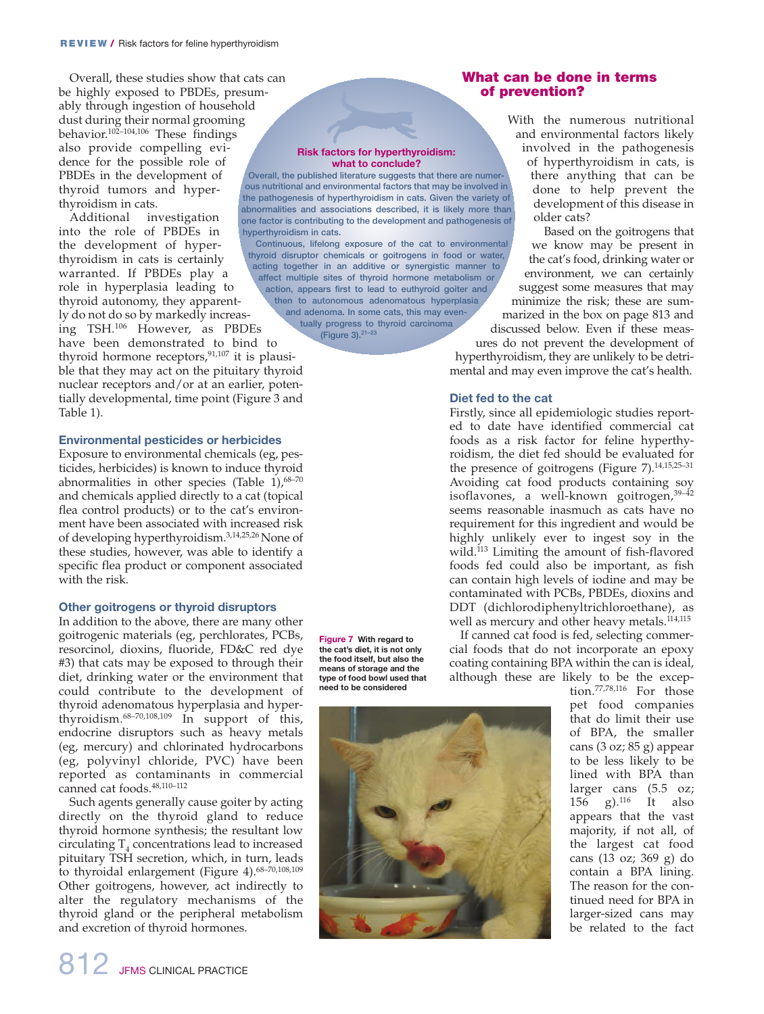Overall, these studies show that cats can be highly exposed to PBDEs, presumably through ingestion of household dust during their normal grooming behavior.<sup>102-104,106</sup> These findings also provide compelling evidence for the possible role of PBDEs in the development of thyroid tumors and hyperthyroidism in cats. **Overall, the published literature suggests that there are numerous nutritional and environmental factors that may be involved in the pathogenesis of hyperthyroidism in cats. Given the variety of abnormalities and associations described, it is likely more than**

Additional investigation into the role of PBDEs in the development of hyperthyroidism in cats is certainly warranted. If PBDEs play a role in hyperplasia leading to thyroid autonomy, they apparently do not do so by markedly increasing TSH. <sup>106</sup> However, as PBDEs have been demonstrated to bind to **one factor is contributing to the development and pathogenesis of hyperthyroidism in cats. Continuous, lifelong exposure of the cat to environmental thyroid disruptor chemicals or goitrogens in food or water, acting together in an additive or synergistic manner to affect multiple sites of thyroid hormone metabolism or**

thyroid hormone receptors, $91,107$  it is plausible that they may act on the pituitary thyroid nuclear receptors and/or at an earlier, potentially developmental, time point (Figure 3 and Table 1).

#### **Environmental pesticides or herbicides**

Exposure to environmental chemicals (eg, pesticides, herbicides) is known to induce thyroid abnormalities in other species (Table  $1$ ),  $68-70$ and chemicals applied directly to a cat (topical flea control products) or to the cat's environment have been associated with increased risk of developing hyperthyroidism.3,14,25,26 None of these studies, however, was able to identify a specific flea product or component associated with the risk.

#### **Other goitrogens or thyroid disruptors**

In addition to the above, there are many other goitrogenic materials (eg, perchlorates, PCBs, resorcinol, dioxins, fluoride, FD&C red dye #3) that cats may be exposed to through their diet, drinking water or the environment that could contribute to the development of thyroid adenomatous hyperplasia and hyperthyroidism. 68–70,108,109 In support of this, endocrine disruptors such as heavy metals (eg, mercury) and chlorinated hydrocarbons (eg, polyvinyl chloride, PVC) have been reported as contaminants in commercial canned cat foods.<sup>48,110-112</sup>

Such agents generally cause goiter by acting directly on the thyroid gland to reduce thyroid hormone synthesis; the resultant low circulating  $T<sub>4</sub>$  concentrations lead to increased pituitary TSH secretion, which, in turn, leads to thyroidal enlargement (Figure 4).68–70,108,109 Other goitrogens, however, act indirectly to alter the regulatory mechanisms of the thyroid gland or the peripheral metabolism and excretion of thyroid hormones.

#### **Figure 7 With regard to the cat's diet, it is not only the food itself, but also the means of storage and the type of food bowl used that need to be considered**

**Risk factors for hyperthyroidism: what to conclude?**

**action, appears first to lead to euthyroid goiter and then to autonomous adenomatous hyperplasia and adenoma. In some cats, this may eventually progress to thyroid carcinoma**

**(Figure 3).21–23**

# **What can be done in terms of prevention?**

With the numerous nutritional and environmental factors likely involved in the pathogenesis of hyperthyroidism in cats, is there anything that can be done to help prevent the development of this disease in older cats?

Based on the goitrogens that we know may be present in the cat's food, drinking water or environment, we can certainly suggest some measures that may minimize the risk; these are summarized in the box on page 813 and

discussed below. Even if these measures do not prevent the development of hyperthyroidism, they are unlikely to be detrimental and may even improve the cat's health.

#### **Diet fed to the cat**

Firstly, since all epidemiologic studies reported to date have identified commercial cat foods as a risk factor for feline hyperthyroidism, the diet fed should be evaluated for the presence of goitrogens (Figure 7).<sup>14,15,25-31</sup> Avoiding cat food products containing soy isoflavones, a well-known goitrogen, 39–42 seems reasonable inasmuch as cats have no requirement for this ingredient and would be highly unlikely ever to ingest soy in the wild.<sup>113</sup> Limiting the amount of fish-flavored foods fed could also be important, as fish can contain high levels of iodine and may be contaminated with PCBs, PBDEs, dioxins and DDT (dichlorodiphenyltrichloroethane), as well as mercury and other heavy metals.<sup>114,115</sup>

If canned cat food is fed, selecting commercial foods that do not incorporate an epoxy coating containing BPA within the can is ideal, although these are likely to be the excep-

tion.<sup>77,78,116</sup> For those pet food companies that do limit their use of BPA, the smaller cans (3 oz; 85 g) appear to be less likely to be lined with BPA than larger cans (5.5 oz; 156 g).116 It also appears that the vast majority, if not all, of the largest cat food cans (13 oz; 369 g) do contain a BPA lining. The reason for the continued need for BPA in larger-sized cans may be related to the fact

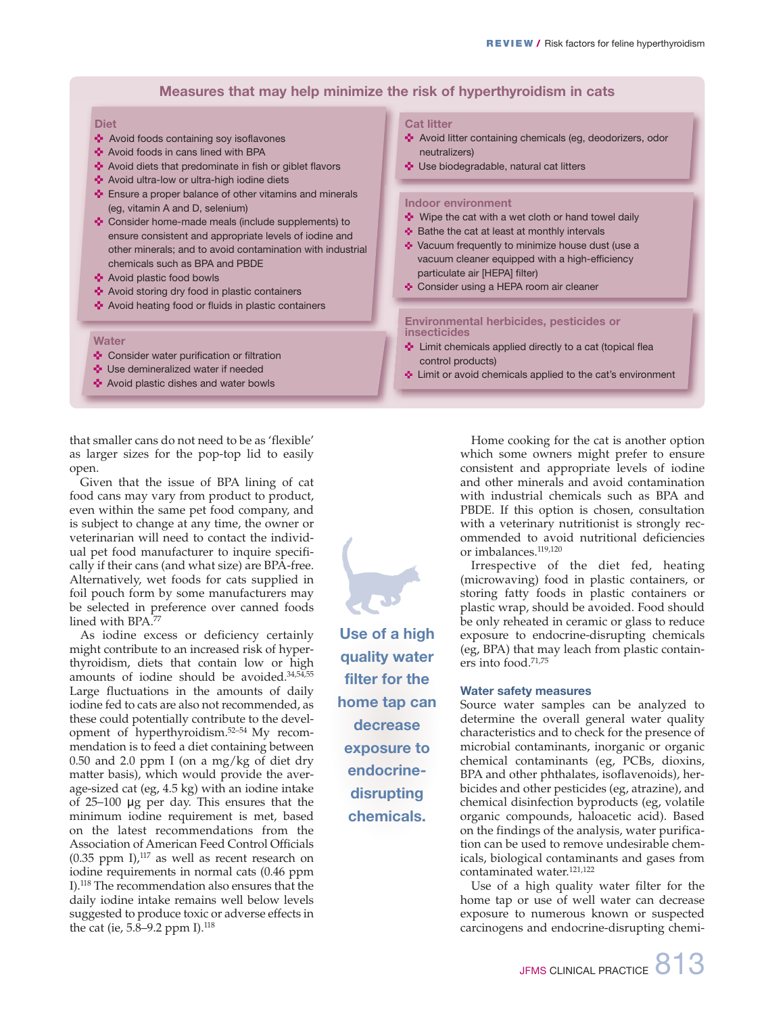# **Measures that may help minimize the risk of hyperthyroidism in cats**

#### **Diet**

- ✜ Avoid foods containing soy isoflavones
- ✜ Avoid foods in cans lined with BPA
- ✜ Avoid diets that predominate in fish or giblet flavors
- ✜ Avoid ultra-low or ultra-high iodine diets
- ✜ Ensure a proper balance of other vitamins and minerals (eg, vitamin A and D, selenium)
- ✜ Consider home-made meals (include supplements) to ensure consistent and appropriate levels of iodine and other minerals; and to avoid contamination with industrial chemicals such as BPA and PBDE
- ✜ Avoid plastic food bowls
- ✜ Avoid storing dry food in plastic containers
- ✜ Avoid heating food or fluids in plastic containers

#### **Water**

- ✜ Consider water purification or filtration
- **↓** Use demineralized water if needed
- ✜ Avoid plastic dishes and water bowls

that smaller cans do not need to be as 'flexible' as larger sizes for the pop-top lid to easily open.

Given that the issue of BPA lining of cat food cans may vary from product to product, even within the same pet food company, and is subject to change at any time, the owner or veterinarian will need to contact the individual pet food manufacturer to inquire specifically if their cans (and what size) are BPA-free. Alternatively, wet foods for cats supplied in foil pouch form by some manufacturers may be selected in preference over canned foods lined with BPA.77

As iodine excess or deficiency certainly might contribute to an increased risk of hyperthyroidism, diets that contain low or high amounts of iodine should be avoided. 34,54,55 Large fluctuations in the amounts of daily iodine fed to cats are also not recommended, as these could potentially contribute to the development of hyperthyroidism.52–54 My recommendation is to feed a diet containing between 0.50 and 2.0 ppm I (on a mg/kg of diet dry matter basis), which would provide the average-sized cat (eg, 4.5 kg) with an iodine intake of 25–100 µg per day. This ensures that the minimum iodine requirement is met, based on the latest recommendations from the Association of American Feed Control Officials  $(0.35$  ppm I), $^{117}$  as well as recent research on iodine requirements in normal cats (0.46 ppm I). <sup>118</sup> The recommendation also ensures that the daily iodine intake remains well below levels suggested to produce toxic or adverse effects in the cat (ie, 5.8–9.2 ppm I). 118

**Use of a high quality water filter for the home tap can decrease exposure to endocrinedisrupting chemicals.**

## **Cat litter**

- ✜ Avoid litter containing chemicals (eg, deodorizers, odor neutralizers)
- ✜ Use biodegradable, natural cat litters

#### **Indoor environment**

- ✜ Wipe the cat with a wet cloth or hand towel daily
- ✜ Bathe the cat at least at monthly intervals
- ✜ Vacuum frequently to minimize house dust (use a vacuum cleaner equipped with a high-efficiency particulate air [HEPA] filter)
- ✜ Consider using a HEPA room air cleaner

#### **Environmental herbicides, pesticides or insecticides**

- ✜ Limit chemicals applied directly to a cat (topical flea control products)
- ✜ Limit or avoid chemicals applied to the cat's environment

Home cooking for the cat is another option which some owners might prefer to ensure consistent and appropriate levels of iodine and other minerals and avoid contamination with industrial chemicals such as BPA and PBDE. If this option is chosen, consultation with a veterinary nutritionist is strongly recommended to avoid nutritional deficiencies or imbalances.<sup>119,120</sup>

Irrespective of the diet fed, heating (microwaving) food in plastic containers, or storing fatty foods in plastic containers or plastic wrap, should be avoided. Food should be only reheated in ceramic or glass to reduce exposure to endocrine-disrupting chemicals (eg, BPA) that may leach from plastic containers into food.71,75

#### **Water safety measures**

Source water samples can be analyzed to determine the overall general water quality characteristics and to check for the presence of microbial contaminants, inorganic or organic chemical contaminants (eg, PCBs, dioxins, BPA and other phthalates, isoflavenoids), herbicides and other pesticides (eg, atrazine), and chemical disinfection byproducts (eg, volatile organic compounds, haloacetic acid). Based on the findings of the analysis, water purification can be used to remove undesirable chemicals, biological contaminants and gases from contaminated water.<sup>121,122</sup>

Use of a high quality water filter for the home tap or use of well water can decrease exposure to numerous known or suspected carcinogens and endocrine-disrupting chemi-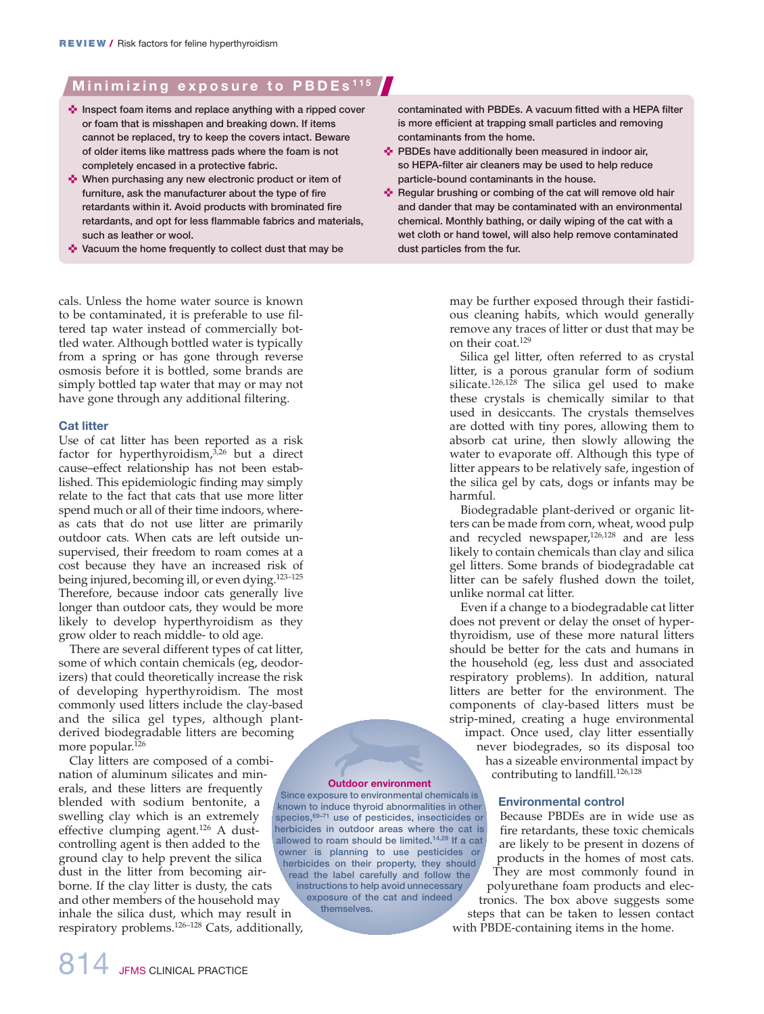# **Minimizing expos u r e t o PBDEs 1 1 5**

- ✜ **Inspect foam items and replace anything with a ripped cover or foam that is misshapen and breaking down. If items cannot be replaced, try to keep the covers intact. Beware of older items like mattress pads where the foam is not completely encased in a protective fabric.**
- ✜ **When purchasing any new electronic product or item of furniture, ask the manufacturer about the type of fire retardants within it. Avoid products with brominated fire retardants, and opt for less flammable fabrics and materials, such as leather or wool.**
- ✜ **Vacuum the home frequently to collect dust that may be**

cals. Unless the home water source is known to be contaminated, it is preferable to use filtered tap water instead of commercially bottled water. Although bottled water is typically from a spring or has gone through reverse osmosis before it is bottled, some brands are simply bottled tap water that may or may not have gone through any additional filtering.

#### **Cat litter**

Use of cat litter has been reported as a risk factor for hyperthyroidism, $3,26$  but a direct cause–effect relationship has not been established. This epidemiologic finding may simply relate to the fact that cats that use more litter spend much or all of their time indoors, whereas cats that do not use litter are primarily outdoor cats. When cats are left outside unsupervised, their freedom to roam comes at a cost because they have an increased risk of being injured, becoming ill, or even dying.<sup>123-125</sup> Therefore, because indoor cats generally live longer than outdoor cats, they would be more likely to develop hyperthyroidism as they grow older to reach middle- to old age.

There are several different types of cat litter, some of which contain chemicals (eg, deodorizers) that could theoretically increase the risk of developing hyperthyroidism. The most commonly used litters include the clay-based and the silica gel types, although plantderived biodegradable litters are becoming more popular.<sup>126</sup>

Clay litters are composed of a combination of aluminum silicates and minerals, and these litters are frequently blended with sodium bentonite, a swelling clay which is an extremely effective clumping agent.126 A dustcontrolling agent is then added to the ground clay to help prevent the silica dust in the litter from becoming airborne. If the clay litter is dusty, the cats and other members of the household may inhale the silica dust, which may result in respiratory problems.126–128 Cats, additionally, **contaminated with PBDEs. A vacuum fitted with a HEPA filter is more efficient at trapping small particles and removing contaminants from the home.**

- ✜ **PBDEs have additionally been measured in indoor air, so HEPA-filter air cleaners may be used to help reduce particle-bound contaminants in the house.**
- ✜ **Regular brushing or combing of the cat will remove old hair and dander that may be contaminated with an environmental chemical. Monthly bathing, or daily wiping of the cat with a wet cloth or hand towel, will also help remove contaminated dust particles from the fur.**

may be further exposed through their fastidious cleaning habits, which would generally remove any traces of litter or dust that may be on their coat.129

Silica gel litter, often referred to as crystal litter, is a porous granular form of sodium silicate.<sup>126,128</sup> The silica gel used to make these crystals is chemically similar to that used in desiccants. The crystals themselves are dotted with tiny pores, allowing them to absorb cat urine, then slowly allowing the water to evaporate off. Although this type of litter appears to be relatively safe, ingestion of the silica gel by cats, dogs or infants may be harmful.

Biodegradable plant-derived or organic litters can be made from corn, wheat, wood pulp and recycled newspaper, $126,128$  and are less likely to contain chemicals than clay and silica gel litters. Some brands of biodegradable cat litter can be safely flushed down the toilet, unlike normal cat litter.

Even if a change to a biodegradable cat litter does not prevent or delay the onset of hyperthyroidism, use of these more natural litters should be better for the cats and humans in the household (eg, less dust and associated respiratory problems). In addition, natural litters are better for the environment. The components of clay-based litters must be strip-mined, creating a huge environmental impact. Once used, clay litter essentially never biodegrades, so its disposal too

has a sizeable environmental impact by contributing to landfill.<sup>126,128</sup>

#### **Environmental control**

Because PBDEs are in wide use as fire retardants, these toxic chemicals are likely to be present in dozens of products in the homes of most cats. They are most commonly found in polyurethane foam products and electronics. The box above suggests some steps that can be taken to lessen contact with PBDE-containing items in the home.

# **Outdoor environment**

**Since exposure to environmental chemicals is known to induce thyroid abnormalities in other species,69–71 use of pesticides, insecticides or herbicides in outdoor areas where the cat is allowed to roam should be limited.14,29 If a cat owner is planning to use pesticides or herbicides on their property, they should read the label carefully and follow the instructions to help avoid unnecessary exposure of the cat and indeed themselves.**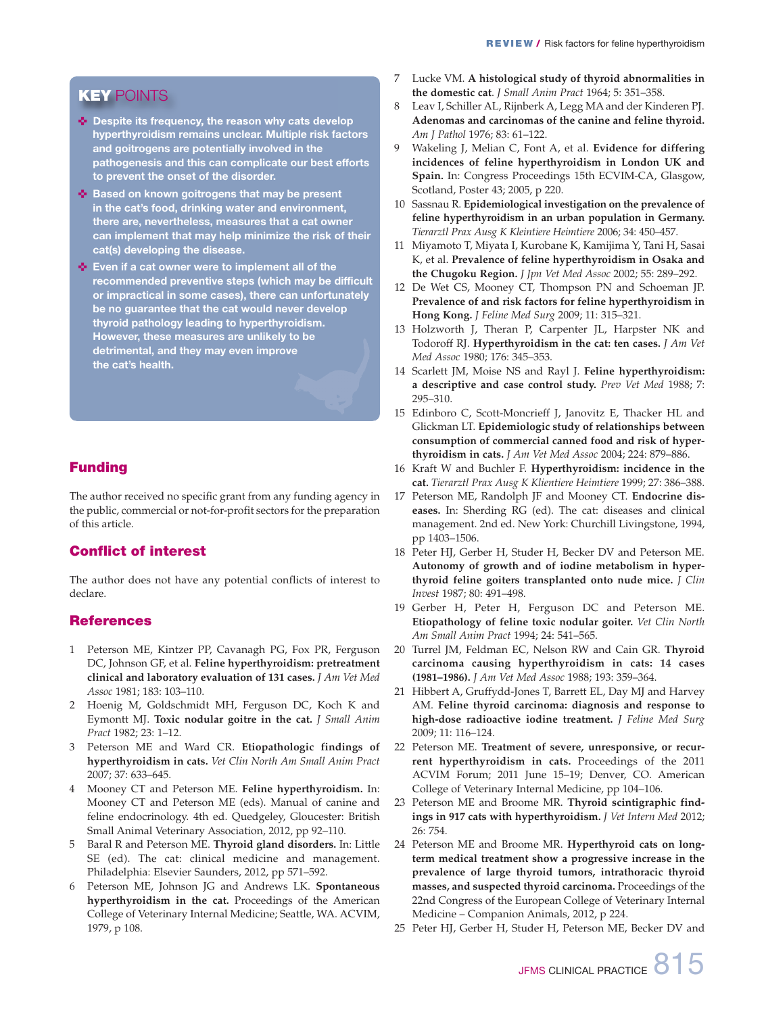# **KEY** POINTS

- ✜ **Despite its frequency, the reason why cats develop hyperthyroidism remains unclear. Multiple risk factors and goitrogens are potentially involved in the pathogenesis and this can complicate our best efforts to prevent the onset of the disorder.**
- ✜ **Based on known goitrogens that may be present in the cat's food, drinking water and environment, there are, nevertheless, measures that a cat owner can implement that may help minimize the risk of their cat(s) developing the disease.**
- ✜ **Even if a cat owner were to implement all of the recommended preventive steps (which may be difficult or impractical in some cases), there can unfortunately be no guarantee that the cat would never develop thyroid pathology leading to hyperthyroidism. However, these measures are unlikely to be detrimental, and they may even improve the cat's health.**

# **Funding**

The author received no specific grant from any funding agency in the public, commercial or not-for-profit sectors for the preparation of this article.

# **Conflict of interest**

The author does not have any potential conflicts of interest to declare.

# **References**

- 1 Peterson ME, Kintzer PP, Cavanagh PG, Fox PR, Ferguson DC, Johnson GF, et al. **Feline hyperthyroidism: pretreatment clinical and laboratory evaluation of 131 cases.** *J Am Vet Med Assoc* 1981; 183: 103–110.
- 2 Hoenig M, Goldschmidt MH, Ferguson DC, Koch K and Eymontt MJ. **Toxic nodular goitre in the cat.** *J Small Anim Pract* 1982; 23: 1–12.
- 3 Peterson ME and Ward CR. **Etiopathologic findings of hyperthyroidism in cats.** *Vet Clin North Am Small Anim Pract* 2007; 37: 633–645.
- 4 Mooney CT and Peterson ME. **Feline hyperthyroidism.** In: Mooney CT and Peterson ME (eds). Manual of canine and feline endocrinology. 4th ed. Quedgeley, Gloucester: British Small Animal Veterinary Association, 2012, pp 92–110.
- 5 Baral R and Peterson ME. **Thyroid gland disorders.** In: Little SE (ed). The cat: clinical medicine and management. Philadelphia: Elsevier Saunders, 2012, pp 571–592.
- 6 Peterson ME, Johnson JG and Andrews LK. **Spontaneous hyperthyroidism in the cat.** Proceedings of the American College of Veterinary Internal Medicine; Seattle, WA. ACVIM, 1979, p 108.
- 7 Lucke VM. **A histological study of thyroid abnormalities in the domestic cat**. *J Small Anim Pract* 1964; 5: 351–358.
- 8 Leav I, Schiller AL, Rijnberk A, Legg MA and der Kinderen PJ. **Adenomas and carcinomas of the canine and feline thyroid.** *Am J Pathol* 1976; 83: 61–122.
- 9 Wakeling J, Melian C, Font A, et al. **Evidence for differing incidences of feline hyperthyroidism in London UK and Spain.** In: Congress Proceedings 15th ECVIM-CA, Glasgow, Scotland, Poster 43; 2005, p 220.
- 10 Sassnau R. **Epidemiological investigation on the prevalence of feline hyperthyroidism in an urban population in Germany.** *Tierarztl Prax Ausg K Kleintiere Heimtiere* 2006; 34: 450–457.
- 11 Miyamoto T, Miyata I, Kurobane K, Kamijima Y, Tani H, Sasai K, et al. **Prevalence of feline hyperthyroidism in Osaka and the Chugoku Region.** *J Jpn Vet Med Assoc* 2002; 55: 289–292.
- 12 De Wet CS, Mooney CT, Thompson PN and Schoeman JP. **Prevalence of and risk factors for feline hyperthyroidism in Hong Kong.** *J Feline Med Surg* 2009; 11: 315–321.
- 13 Holzworth J, Theran P, Carpenter JL, Harpster NK and Todoroff RJ. **Hyperthyroidism in the cat: ten cases.** *J Am Vet Med Assoc* 1980; 176: 345–353.
- 14 Scarlett JM, Moise NS and Rayl J. **Feline hyperthyroidism: a descriptive and case control study.** *Prev Vet Med* 1988; 7: 295–310.
- 15 Edinboro C, Scott-Moncrieff J, Janovitz E, Thacker HL and Glickman LT. **Epidemiologic study of relationships between consumption of commercial canned food and risk of hyperthyroidism in cats.** *J Am Vet Med Assoc* 2004; 224: 879–886.
- 16 Kraft W and Buchler F. **Hyperthyroidism: incidence in the cat.** *Tierarztl Prax Ausg K Klientiere Heimtiere* 1999; 27: 386–388.
- 17 Peterson ME, Randolph JF and Mooney CT. **Endocrine diseases.** In: Sherding RG (ed). The cat: diseases and clinical management. 2nd ed. New York: Churchill Livingstone, 1994, pp 1403–1506.
- 18 Peter HJ, Gerber H, Studer H, Becker DV and Peterson ME. **Autonomy of growth and of iodine metabolism in hyperthyroid feline goiters transplanted onto nude mice.** *J Clin Invest* 1987; 80: 491–498.
- 19 Gerber H, Peter H, Ferguson DC and Peterson ME. **Etiopathology of feline toxic nodular goiter.** *Vet Clin North Am Small Anim Pract* 1994; 24: 541–565.
- 20 Turrel JM, Feldman EC, Nelson RW and Cain GR. **Thyroid carcinoma causing hyperthyroidism in cats: 14 cases (1981–1986).** *J Am Vet Med Assoc* 1988; 193: 359–364.
- 21 Hibbert A, Gruffydd-Jones T, Barrett EL, Day MJ and Harvey AM. **Feline thyroid carcinoma: diagnosis and response to high-dose radioactive iodine treatment.** *J Feline Med Surg* 2009; 11: 116–124.
- 22 Peterson ME. **Treatment of severe, unresponsive, or recurrent hyperthyroidism in cats.** Proceedings of the 2011 ACVIM Forum; 2011 June 15–19; Denver, CO. American College of Veterinary Internal Medicine, pp 104–106.
- 23 Peterson ME and Broome MR. **Thyroid scintigraphic findings in 917 cats with hyperthyroidism.** *J Vet Intern Med* 2012; 26: 754.
- 24 Peterson ME and Broome MR. **Hyperthyroid cats on longterm medical treatment show a progressive increase in the prevalence of large thyroid tumors, intrathoracic thyroid masses, and suspected thyroid carcinoma.** Proceedings of the 22nd Congress of the European College of Veterinary Internal Medicine – Companion Animals, 2012, p 224.
- 25 Peter HJ, Gerber H, Studer H, Peterson ME, Becker DV and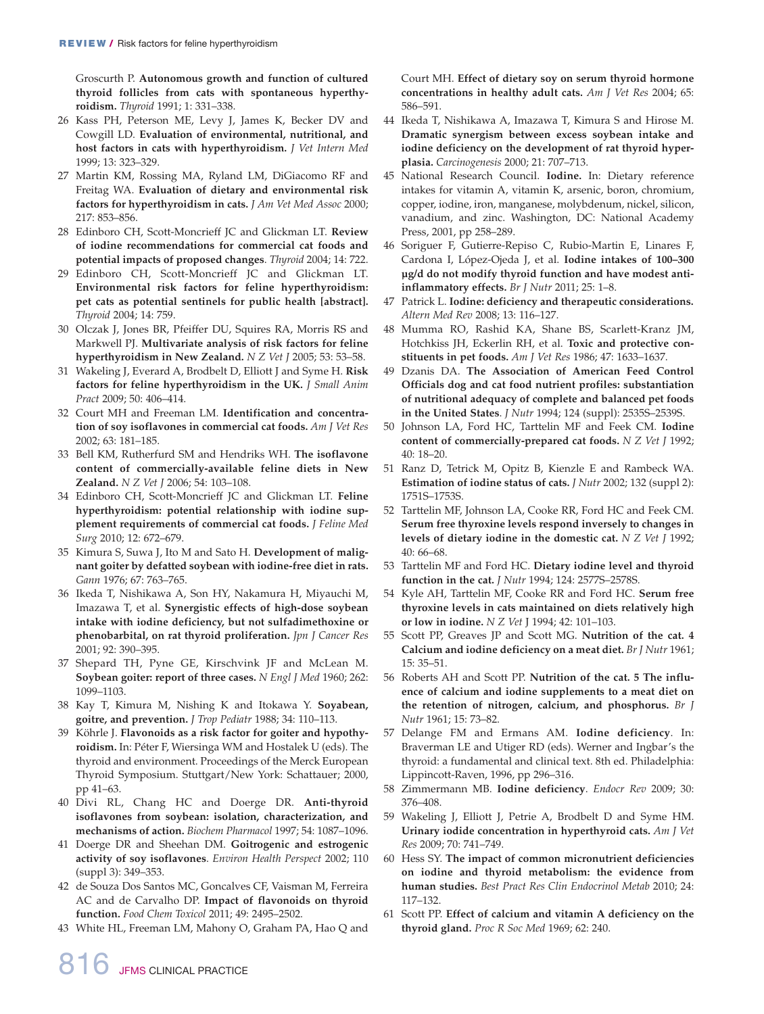Groscurth P. **Autonomous growth and function of cultured thyroid follicles from cats with spontaneous hyperthyroidism.** *Thyroid* 1991; 1: 331–338.

- 26 Kass PH, Peterson ME, Levy J, James K, Becker DV and Cowgill LD. **Evaluation of environmental, nutritional, and host factors in cats with hyperthyroidism.** *J Vet Intern Med* 1999; 13: 323–329.
- 27 Martin KM, Rossing MA, Ryland LM, DiGiacomo RF and Freitag WA. **Evaluation of dietary and environmental risk factors for hyperthyroidism in cats.** *J Am Vet Med Assoc* 2000; 217: 853–856.
- 28 Edinboro CH, Scott-Moncrieff JC and Glickman LT. **Review of iodine recommendations for commercial cat foods and potential impacts of proposed changes**. *Thyroid* 2004; 14: 722.
- 29 Edinboro CH, Scott-Moncrieff JC and Glickman LT. **Environmental risk factors for feline hyperthyroidism: pet cats as potential sentinels for public health [abstract].** *Thyroid* 2004; 14: 759.
- 30 Olczak J, Jones BR, Pfeiffer DU, Squires RA, Morris RS and Markwell PJ. **Multivariate analysis of risk factors for feline hyperthyroidism in New Zealand.** *N Z Vet J* 2005; 53: 53–58.
- 31 Wakeling J, Everard A, Brodbelt D, Elliott J and Syme H. **Risk factors for feline hyperthyroidism in the UK.** *J Small Anim Pract* 2009; 50: 406–414.
- 32 Court MH and Freeman LM. **Identification and concentration of soy isoflavones in commercial cat foods.** *Am J Vet Res* 2002; 63: 181–185.
- 33 Bell KM, Rutherfurd SM and Hendriks WH. **The isoflavone content of commercially-available feline diets in New Zealand.** *N Z Vet J* 2006; 54: 103–108.
- 34 Edinboro CH, Scott-Moncrieff JC and Glickman LT. **Feline hyperthyroidism: potential relationship with iodine supplement requirements of commercial cat foods.** *J Feline Med Surg* 2010; 12: 672–679.
- 35 Kimura S, Suwa J, Ito M and Sato H. **Development of malignant goiter by defatted soybean with iodine-free diet in rats.** *Gann* 1976; 67: 763–765.
- 36 Ikeda T, Nishikawa A, Son HY, Nakamura H, Miyauchi M, Imazawa T, et al. **Synergistic effects of high-dose soybean intake with iodine deficiency, but not sulfadimethoxine or phenobarbital, on rat thyroid proliferation.** *Jpn J Cancer Res* 2001; 92: 390–395.
- 37 Shepard TH, Pyne GE, Kirschvink JF and McLean M. **Soybean goiter: report of three cases.** *N Engl J Med* 1960; 262: 1099–1103.
- 38 Kay T, Kimura M, Nishing K and Itokawa Y. **Soyabean, goitre, and prevention.** *J Trop Pediatr* 1988; 34: 110–113.
- 39 Köhrle J. **Flavonoids as a risk factor for goiter and hypothyroidism.** In: Péter F, Wiersinga WM and Hostalek U (eds). The thyroid and environment. Proceedings of the Merck European Thyroid Symposium. Stuttgart/New York: Schattauer; 2000, pp 41–63.
- 40 Divi RL, Chang HC and Doerge DR. **Anti-thyroid isoflavones from soybean: isolation, characterization, and mechanisms of action.** *Biochem Pharmacol* 1997; 54: 1087–1096.
- 41 Doerge DR and Sheehan DM. **Goitrogenic and estrogenic activity of soy isoflavones**. *Environ Health Perspect* 2002; 110 (suppl 3): 349–353.
- 42 de Souza Dos Santos MC, Goncalves CF, Vaisman M, Ferreira AC and de Carvalho DP. **Impact of flavonoids on thyroid function.** *Food Chem Toxicol* 2011; 49: 2495–2502.
- 43 White HL, Freeman LM, Mahony O, Graham PA, Hao Q and

Court MH. **Effect of dietary soy on serum thyroid hormone concentrations in healthy adult cats.** *Am J Vet Res* 2004; 65: 586–591.

- 44 Ikeda T, Nishikawa A, Imazawa T, Kimura S and Hirose M. **Dramatic synergism between excess soybean intake and iodine deficiency on the development of rat thyroid hyperplasia.** *Carcinogenesis* 2000; 21: 707–713.
- 45 National Research Council. **Iodine.** In: Dietary reference intakes for vitamin A, vitamin K, arsenic, boron, chromium, copper, iodine, iron, manganese, molybdenum, nickel, silicon, vanadium, and zinc. Washington, DC: National Academy Press, 2001, pp 258–289.
- 46 Soriguer F, Gutierre-Repiso C, Rubio-Martin E, Linares F, Cardona I, López-Ojeda J, et al. **Iodine intakes of 100–300 µg/d do not modify thyroid function and have modest antiinflammatory effects.** *Br J Nutr* 2011; 25: 1–8.
- 47 Patrick L. **Iodine: deficiency and therapeutic considerations.** *Altern Med Rev* 2008; 13: 116–127.
- 48 Mumma RO, Rashid KA, Shane BS, Scarlett-Kranz JM, Hotchkiss JH, Eckerlin RH, et al. **Toxic and protective constituents in pet foods.** *Am J Vet Res* 1986; 47: 1633–1637.
- 49 Dzanis DA. **The Association of American Feed Control Officials dog and cat food nutrient profiles: substantiation of nutritional adequacy of complete and balanced pet foods in the United States**. *J Nutr* 1994; 124 (suppl): 2535S–2539S.
- 50 Johnson LA, Ford HC, Tarttelin MF and Feek CM. **Iodine content of commercially-prepared cat foods.** *N Z Vet J* 1992;  $40:18-20.$
- 51 Ranz D, Tetrick M, Opitz B, Kienzle E and Rambeck WA. **Estimation of iodine status of cats.** *J Nutr* 2002; 132 (suppl 2): 1751S–1753S.
- 52 Tarttelin MF, Johnson LA, Cooke RR, Ford HC and Feek CM. **Serum free thyroxine levels respond inversely to changes in levels of dietary iodine in the domestic cat.** *N Z Vet J* 1992; 40: 66–68.
- 53 Tarttelin MF and Ford HC. **Dietary iodine level and thyroid function in the cat.** *J Nutr* 1994; 124: 2577S–2578S.
- 54 Kyle AH, Tarttelin MF, Cooke RR and Ford HC. **Serum free thyroxine levels in cats maintained on diets relatively high or low in iodine.** *N Z Vet* J 1994; 42: 101–103.
- 55 Scott PP, Greaves JP and Scott MG. **Nutrition of the cat. 4 Calcium and iodine deficiency on a meat diet.** *Br J Nutr* 1961; 15: 35–51.
- 56 Roberts AH and Scott PP. **Nutrition of the cat. 5 The influence of calcium and iodine supplements to a meat diet on the retention of nitrogen, calcium, and phosphorus.** *Br J Nutr* 1961; 15: 73–82.
- 57 Delange FM and Ermans AM. **Iodine deficiency**. In: Braverman LE and Utiger RD (eds). Werner and Ingbar's the thyroid: a fundamental and clinical text. 8th ed. Philadelphia: Lippincott-Raven, 1996, pp 296–316.
- 58 Zimmermann MB. **Iodine deficiency**. *Endocr Rev* 2009; 30: 376–408.
- 59 Wakeling J, Elliott J, Petrie A, Brodbelt D and Syme HM. **Urinary iodide concentration in hyperthyroid cats.** *Am J Vet Res* 2009; 70: 741–749.
- 60 Hess SY. **The impact of common micronutrient deficiencies on iodine and thyroid metabolism: the evidence from human studies.** *Best Pract Res Clin Endocrinol Metab* 2010; 24: 117–132.
- 61 Scott PP. **Effect of calcium and vitamin A deficiency on the thyroid gland.** *Proc R Soc Med* 1969; 62: 240.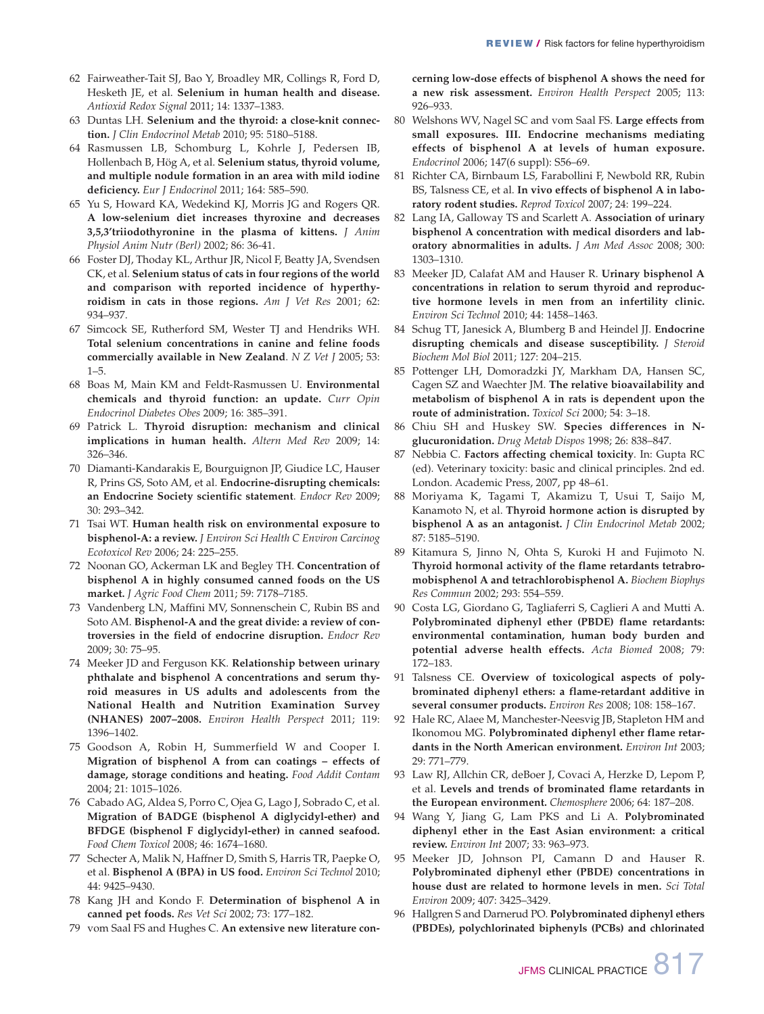- 62 Fairweather-Tait SJ, Bao Y, Broadley MR, Collings R, Ford D, Hesketh JE, et al. **Selenium in human health and disease.** *Antioxid Redox Signal* 2011; 14: 1337–1383.
- 63 Duntas LH. **Selenium and the thyroid: a close-knit connection.** *J Clin Endocrinol Metab* 2010; 95: 5180–5188.
- 64 Rasmussen LB, Schomburg L, Kohrle J, Pedersen IB, Hollenbach B, Hög A, et al. **Selenium status, thyroid volume, and multiple nodule formation in an area with mild iodine deficiency.** *Eur J Endocrinol* 2011; 164: 585–590.
- 65 Yu S, Howard KA, Wedekind KJ, Morris JG and Rogers QR. **A low-selenium diet increases thyroxine and decreases 3,5,3'triiodothyronine in the plasma of kittens.** *J Anim Physiol Anim Nutr (Berl)* 2002; 86: 36-41.
- 66 Foster DJ, Thoday KL, Arthur JR, Nicol F, Beatty JA, Svendsen CK, et al. **Selenium status of cats in four regions of the world and comparison with reported incidence of hyperthyroidism in cats in those regions.** *Am J Vet Res* 2001; 62: 934–937.
- 67 Simcock SE, Rutherford SM, Wester TJ and Hendriks WH. **Total selenium concentrations in canine and feline foods commercially available in New Zealand**. *N Z Vet J* 2005; 53:  $1 - 5$ .
- 68 Boas M, Main KM and Feldt-Rasmussen U. **Environmental chemicals and thyroid function: an update.** *Curr Opin Endocrinol Diabetes Obes* 2009; 16: 385–391.
- 69 Patrick L. **Thyroid disruption: mechanism and clinical implications in human health.** *Altern Med Rev* 2009; 14: 326–346.
- 70 Diamanti-Kandarakis E, Bourguignon JP, Giudice LC, Hauser R, Prins GS, Soto AM, et al. **Endocrine-disrupting chemicals: an Endocrine Society scientific statement**. *Endocr Rev* 2009; 30: 293–342.
- 71 Tsai WT. **Human health risk on environmental exposure to bisphenol-A: a review.** *J Environ Sci Health C Environ Carcinog Ecotoxicol Rev* 2006; 24: 225–255.
- 72 Noonan GO, Ackerman LK and Begley TH. **Concentration of bisphenol A in highly consumed canned foods on the US market.** *J Agric Food Chem* 2011; 59: 7178–7185.
- 73 Vandenberg LN, Maffini MV, Sonnenschein C, Rubin BS and Soto AM. **Bisphenol-A and the great divide: a review of controversies in the field of endocrine disruption.** *Endocr Rev* 2009; 30: 75–95.
- 74 Meeker JD and Ferguson KK. **Relationship between urinary phthalate and bisphenol A concentrations and serum thyroid measures in US adults and adolescents from the National Health and Nutrition Examination Survey (NHANES) 2007–2008.** *Environ Health Perspect* 2011; 119: 1396–1402.
- 75 Goodson A, Robin H, Summerfield W and Cooper I. **Migration of bisphenol A from can coatings – effects of damage, storage conditions and heating.** *Food Addit Contam* 2004; 21: 1015–1026.
- 76 Cabado AG, Aldea S, Porro C, Ojea G, Lago J, Sobrado C, et al. **Migration of BADGE (bisphenol A diglycidyl-ether) and BFDGE (bisphenol F diglycidyl-ether) in canned seafood.** *Food Chem Toxicol* 2008; 46: 1674–1680.
- 77 Schecter A, Malik N, Haffner D, Smith S, Harris TR, Paepke O, et al. **Bisphenol A (BPA) in US food.** *Environ Sci Technol* 2010; 44: 9425–9430.
- 78 Kang JH and Kondo F. **Determination of bisphenol A in canned pet foods.** *Res Vet Sci* 2002; 73: 177–182.
- 79 vom Saal FS and Hughes C. **An extensive new literature con-**

**cerning low-dose effects of bisphenol A shows the need for a new risk assessment.** *Environ Health Perspect* 2005; 113: 926–933.

- 80 Welshons WV, Nagel SC and vom Saal FS. **Large effects from small exposures. III. Endocrine mechanisms mediating effects of bisphenol A at levels of human exposure.** *Endocrinol* 2006; 147(6 suppl): S56–69.
- 81 Richter CA, Birnbaum LS, Farabollini F, Newbold RR, Rubin BS, Talsness CE, et al. **In vivo effects of bisphenol A in laboratory rodent studies.** *Reprod Toxicol* 2007; 24: 199–224.
- 82 Lang IA, Galloway TS and Scarlett A. **Association of urinary bisphenol A concentration with medical disorders and laboratory abnormalities in adults.** *J Am Med Assoc* 2008; 300: 1303–1310.
- 83 Meeker JD, Calafat AM and Hauser R. **Urinary bisphenol A concentrations in relation to serum thyroid and reproductive hormone levels in men from an infertility clinic.** *Environ Sci Technol* 2010; 44: 1458–1463.
- 84 Schug TT, Janesick A, Blumberg B and Heindel JJ. **Endocrine disrupting chemicals and disease susceptibility.** *J Steroid Biochem Mol Biol* 2011; 127: 204–215.
- 85 Pottenger LH, Domoradzki JY, Markham DA, Hansen SC, Cagen SZ and Waechter JM. **The relative bioavailability and metabolism of bisphenol A in rats is dependent upon the route of administration.** *Toxicol Sci* 2000; 54: 3–18.
- 86 Chiu SH and Huskey SW. **Species differences in Nglucuronidation.** *Drug Metab Dispos* 1998; 26: 838–847.
- 87 Nebbia C. **Factors affecting chemical toxicity**. In: Gupta RC (ed). Veterinary toxicity: basic and clinical principles. 2nd ed. London. Academic Press, 2007, pp 48–61.
- 88 Moriyama K, Tagami T, Akamizu T, Usui T, Saijo M, Kanamoto N, et al. **Thyroid hormone action is disrupted by bisphenol A as an antagonist.** *J Clin Endocrinol Metab* 2002; 87: 5185–5190.
- 89 Kitamura S, Jinno N, Ohta S, Kuroki H and Fujimoto N. **Thyroid hormonal activity of the flame retardants tetrabromobisphenol A and tetrachlorobisphenol A.** *Biochem Biophys Res Commun* 2002; 293: 554–559.
- 90 Costa LG, Giordano G, Tagliaferri S, Caglieri A and Mutti A. **Polybrominated diphenyl ether (PBDE) flame retardants: environmental contamination, human body burden and potential adverse health effects.** *Acta Biomed* 2008; 79: 172–183.
- 91 Talsness CE. **Overview of toxicological aspects of polybrominated diphenyl ethers: a flame-retardant additive in several consumer products.** *Environ Res* 2008; 108: 158–167.
- 92 Hale RC, Alaee M, Manchester-Neesvig JB, Stapleton HM and Ikonomou MG. **Polybrominated diphenyl ether flame retardants in the North American environment.** *Environ Int* 2003; 29: 771–779.
- 93 Law RJ, Allchin CR, deBoer J, Covaci A, Herzke D, Lepom P, et al. **Levels and trends of brominated flame retardants in the European environment.** *Chemosphere* 2006; 64: 187–208.
- 94 Wang Y, Jiang G, Lam PKS and Li A. **Polybrominated diphenyl ether in the East Asian environment: a critical review.** *Environ Int* 2007; 33: 963–973.
- 95 Meeker JD, Johnson PI, Camann D and Hauser R. **Polybrominated diphenyl ether (PBDE) concentrations in house dust are related to hormone levels in men.** *Sci Total Environ* 2009; 407: 3425–3429.
- 96 Hallgren S and Darnerud PO. **Polybrominated diphenyl ethers (PBDEs), polychlorinated biphenyls (PCBs) and chlorinated**